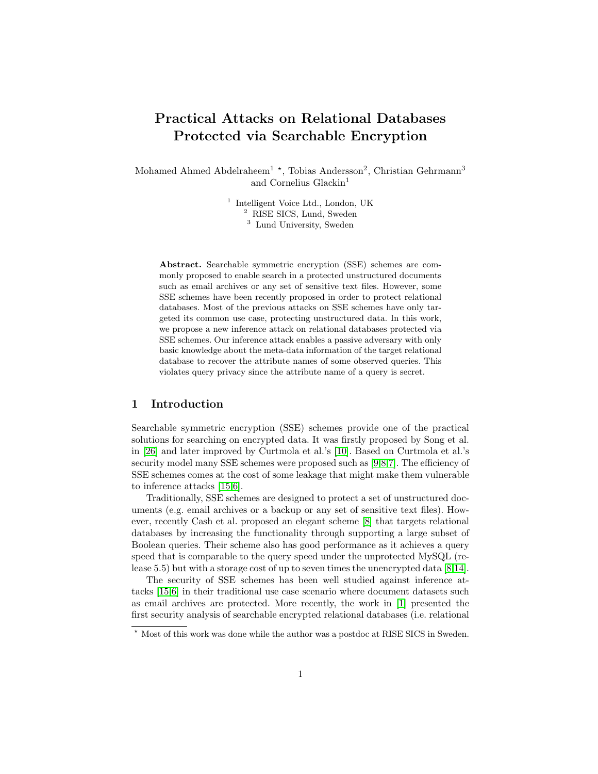# Practical Attacks on Relational Databases Protected via Searchable Encryption

Mohamed Ahmed Abdelraheem<sup>1</sup><sup>\*</sup>, Tobias Andersson<sup>2</sup>, Christian Gehrmann<sup>3</sup> and Cornelius Glackin<sup>1</sup>

> <sup>1</sup> Intelligent Voice Ltd., London, UK <sup>2</sup> RISE SICS, Lund, Sweden <sup>3</sup> Lund University, Sweden

Abstract. Searchable symmetric encryption (SSE) schemes are commonly proposed to enable search in a protected unstructured documents such as email archives or any set of sensitive text files. However, some SSE schemes have been recently proposed in order to protect relational databases. Most of the previous attacks on SSE schemes have only targeted its common use case, protecting unstructured data. In this work, we propose a new inference attack on relational databases protected via SSE schemes. Our inference attack enables a passive adversary with only basic knowledge about the meta-data information of the target relational database to recover the attribute names of some observed queries. This violates query privacy since the attribute name of a query is secret.

## 1 Introduction

Searchable symmetric encryption (SSE) schemes provide one of the practical solutions for searching on encrypted data. It was firstly proposed by Song et al. in [\[26\]](#page-17-0) and later improved by Curtmola et al.'s [\[10\]](#page-16-0). Based on Curtmola et al.'s security model many SSE schemes were proposed such as [\[9,](#page-16-1)[8,](#page-16-2)[7\]](#page-16-3). The efficiency of SSE schemes comes at the cost of some leakage that might make them vulnerable to inference attacks [\[15,](#page-16-4)[6\]](#page-16-5).

Traditionally, SSE schemes are designed to protect a set of unstructured documents (e.g. email archives or a backup or any set of sensitive text files). However, recently Cash et al. proposed an elegant scheme [\[8\]](#page-16-2) that targets relational databases by increasing the functionality through supporting a large subset of Boolean queries. Their scheme also has good performance as it achieves a query speed that is comparable to the query speed under the unprotected MySQL (release 5.5) but with a storage cost of up to seven times the unencrypted data [\[8,](#page-16-2)[14\]](#page-16-6).

The security of SSE schemes has been well studied against inference attacks [\[15,](#page-16-4)[6\]](#page-16-5) in their traditional use case scenario where document datasets such as email archives are protected. More recently, the work in [\[1\]](#page-16-7) presented the first security analysis of searchable encrypted relational databases (i.e. relational

<sup>?</sup> Most of this work was done while the author was a postdoc at RISE SICS in Sweden.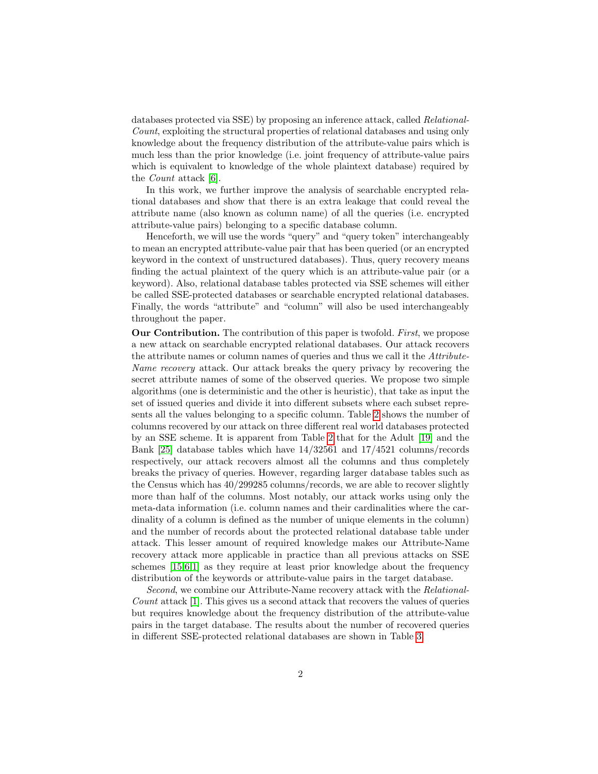databases protected via SSE) by proposing an inference attack, called Relational-Count, exploiting the structural properties of relational databases and using only knowledge about the frequency distribution of the attribute-value pairs which is much less than the prior knowledge (i.e. joint frequency of attribute-value pairs which is equivalent to knowledge of the whole plaintext database) required by the Count attack [\[6\]](#page-16-5).

In this work, we further improve the analysis of searchable encrypted relational databases and show that there is an extra leakage that could reveal the attribute name (also known as column name) of all the queries (i.e. encrypted attribute-value pairs) belonging to a specific database column.

Henceforth, we will use the words "query" and "query token" interchangeably to mean an encrypted attribute-value pair that has been queried (or an encrypted keyword in the context of unstructured databases). Thus, query recovery means finding the actual plaintext of the query which is an attribute-value pair (or a keyword). Also, relational database tables protected via SSE schemes will either be called SSE-protected databases or searchable encrypted relational databases. Finally, the words "attribute" and "column" will also be used interchangeably throughout the paper.

Our Contribution. The contribution of this paper is twofold. First, we propose a new attack on searchable encrypted relational databases. Our attack recovers the attribute names or column names of queries and thus we call it the Attribute-Name recovery attack. Our attack breaks the query privacy by recovering the secret attribute names of some of the observed queries. We propose two simple algorithms (one is deterministic and the other is heuristic), that take as input the set of issued queries and divide it into different subsets where each subset represents all the values belonging to a specific column. Table [2](#page-14-0) shows the number of columns recovered by our attack on three different real world databases protected by an SSE scheme. It is apparent from Table [2](#page-14-0) that for the Adult [\[19\]](#page-16-8) and the Bank [\[25\]](#page-17-1) database tables which have 14/32561 and 17/4521 columns/records respectively, our attack recovers almost all the columns and thus completely breaks the privacy of queries. However, regarding larger database tables such as the Census which has 40/299285 columns/records, we are able to recover slightly more than half of the columns. Most notably, our attack works using only the meta-data information (i.e. column names and their cardinalities where the cardinality of a column is defined as the number of unique elements in the column) and the number of records about the protected relational database table under attack. This lesser amount of required knowledge makes our Attribute-Name recovery attack more applicable in practice than all previous attacks on SSE schemes [\[15](#page-16-4)[,6,](#page-16-5)[1\]](#page-16-7) as they require at least prior knowledge about the frequency distribution of the keywords or attribute-value pairs in the target database.

Second, we combine our Attribute-Name recovery attack with the Relational-Count attack [\[1\]](#page-16-7). This gives us a second attack that recovers the values of queries but requires knowledge about the frequency distribution of the attribute-value pairs in the target database. The results about the number of recovered queries in different SSE-protected relational databases are shown in Table [3.](#page-14-1)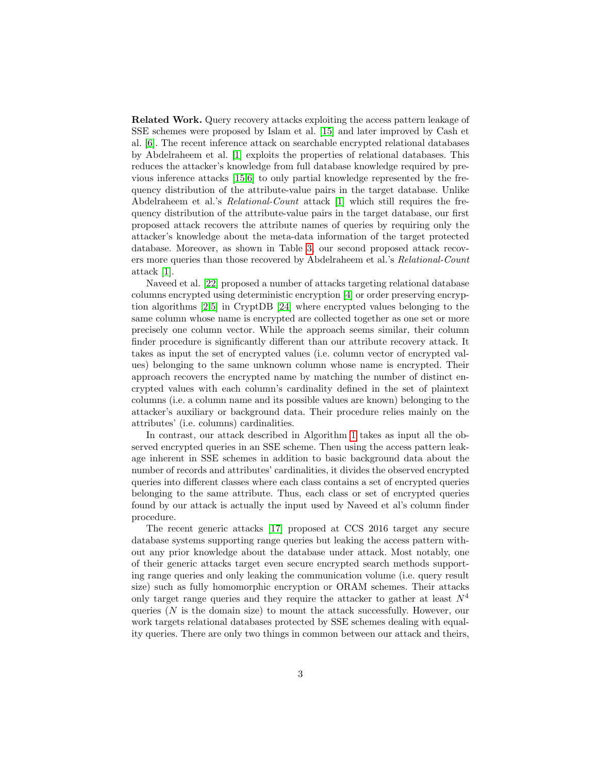Related Work. Query recovery attacks exploiting the access pattern leakage of SSE schemes were proposed by Islam et al. [\[15\]](#page-16-4) and later improved by Cash et al. [\[6\]](#page-16-5). The recent inference attack on searchable encrypted relational databases by Abdelraheem et al. [\[1\]](#page-16-7) exploits the properties of relational databases. This reduces the attacker's knowledge from full database knowledge required by previous inference attacks [\[15,](#page-16-4)[6\]](#page-16-5) to only partial knowledge represented by the frequency distribution of the attribute-value pairs in the target database. Unlike Abdelraheem et al.'s Relational-Count attack [\[1\]](#page-16-7) which still requires the frequency distribution of the attribute-value pairs in the target database, our first proposed attack recovers the attribute names of queries by requiring only the attacker's knowledge about the meta-data information of the target protected database. Moreover, as shown in Table [3,](#page-14-1) our second proposed attack recovers more queries than those recovered by Abdelraheem et al.'s Relational-Count attack [\[1\]](#page-16-7).

Naveed et al. [\[22\]](#page-16-9) proposed a number of attacks targeting relational database columns encrypted using deterministic encryption [\[4\]](#page-16-10) or order preserving encryption algorithms [\[2,](#page-16-11)[5\]](#page-16-12) in CryptDB [\[24\]](#page-17-2) where encrypted values belonging to the same column whose name is encrypted are collected together as one set or more precisely one column vector. While the approach seems similar, their column finder procedure is significantly different than our attribute recovery attack. It takes as input the set of encrypted values (i.e. column vector of encrypted values) belonging to the same unknown column whose name is encrypted. Their approach recovers the encrypted name by matching the number of distinct encrypted values with each column's cardinality defined in the set of plaintext columns (i.e. a column name and its possible values are known) belonging to the attacker's auxiliary or background data. Their procedure relies mainly on the attributes' (i.e. columns) cardinalities.

In contrast, our attack described in Algorithm [1](#page-7-0) takes as input all the observed encrypted queries in an SSE scheme. Then using the access pattern leakage inherent in SSE schemes in addition to basic background data about the number of records and attributes' cardinalities, it divides the observed encrypted queries into different classes where each class contains a set of encrypted queries belonging to the same attribute. Thus, each class or set of encrypted queries found by our attack is actually the input used by Naveed et al's column finder procedure.

The recent generic attacks [\[17\]](#page-16-13) proposed at CCS 2016 target any secure database systems supporting range queries but leaking the access pattern without any prior knowledge about the database under attack. Most notably, one of their generic attacks target even secure encrypted search methods supporting range queries and only leaking the communication volume (i.e. query result size) such as fully homomorphic encryption or ORAM schemes. Their attacks only target range queries and they require the attacker to gather at least  $N<sup>4</sup>$ queries  $(N$  is the domain size) to mount the attack successfully. However, our work targets relational databases protected by SSE schemes dealing with equality queries. There are only two things in common between our attack and theirs,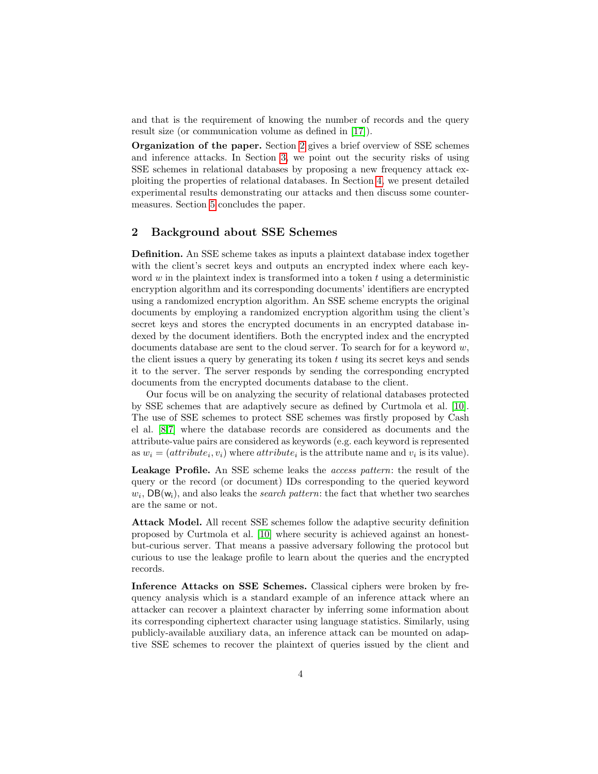and that is the requirement of knowing the number of records and the query result size (or communication volume as defined in [\[17\]](#page-16-13)).

Organization of the paper. Section [2](#page-3-0) gives a brief overview of SSE schemes and inference attacks. In Section [3,](#page-4-0) we point out the security risks of using SSE schemes in relational databases by proposing a new frequency attack exploiting the properties of relational databases. In Section [4,](#page-11-0) we present detailed experimental results demonstrating our attacks and then discuss some countermeasures. Section [5](#page-15-0) concludes the paper.

## <span id="page-3-0"></span>2 Background about SSE Schemes

Definition. An SSE scheme takes as inputs a plaintext database index together with the client's secret keys and outputs an encrypted index where each keyword w in the plaintext index is transformed into a token  $t$  using a deterministic encryption algorithm and its corresponding documents' identifiers are encrypted using a randomized encryption algorithm. An SSE scheme encrypts the original documents by employing a randomized encryption algorithm using the client's secret keys and stores the encrypted documents in an encrypted database indexed by the document identifiers. Both the encrypted index and the encrypted documents database are sent to the cloud server. To search for for a keyword  $w$ , the client issues a query by generating its token  $t$  using its secret keys and sends it to the server. The server responds by sending the corresponding encrypted documents from the encrypted documents database to the client.

Our focus will be on analyzing the security of relational databases protected by SSE schemes that are adaptively secure as defined by Curtmola et al. [\[10\]](#page-16-0). The use of SSE schemes to protect SSE schemes was firstly proposed by Cash el al. [\[8,](#page-16-2)[7\]](#page-16-3) where the database records are considered as documents and the attribute-value pairs are considered as keywords (e.g. each keyword is represented as  $w_i = (attribute_i, v_i)$  where  $attribute_i$  is the attribute name and  $v_i$  is its value).

Leakage Profile. An SSE scheme leaks the *access pattern*: the result of the query or the record (or document) IDs corresponding to the queried keyword  $w_i$ , DB( $w_i$ ), and also leaks the *search pattern*: the fact that whether two searches are the same or not.

Attack Model. All recent SSE schemes follow the adaptive security definition proposed by Curtmola et al. [\[10\]](#page-16-0) where security is achieved against an honestbut-curious server. That means a passive adversary following the protocol but curious to use the leakage profile to learn about the queries and the encrypted records.

Inference Attacks on SSE Schemes. Classical ciphers were broken by frequency analysis which is a standard example of an inference attack where an attacker can recover a plaintext character by inferring some information about its corresponding ciphertext character using language statistics. Similarly, using publicly-available auxiliary data, an inference attack can be mounted on adaptive SSE schemes to recover the plaintext of queries issued by the client and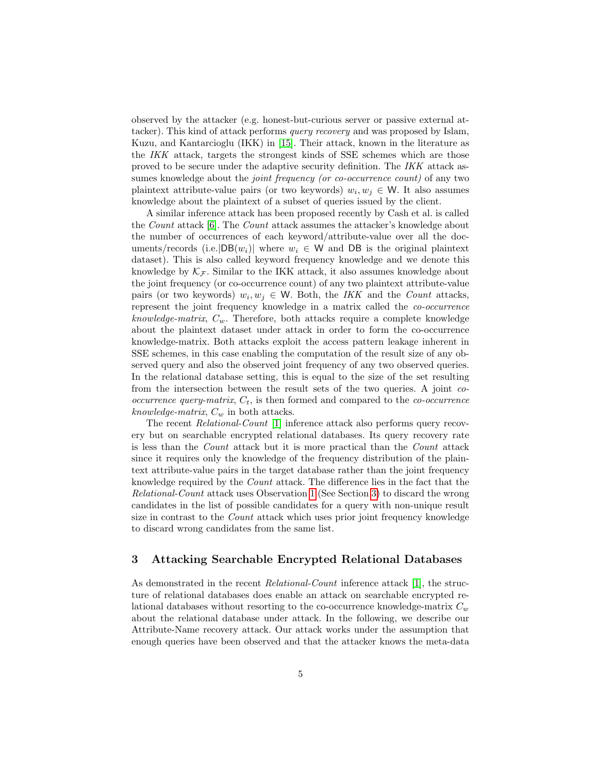observed by the attacker (e.g. honest-but-curious server or passive external attacker). This kind of attack performs query recovery and was proposed by Islam, Kuzu, and Kantarcioglu (IKK) in [\[15\]](#page-16-4). Their attack, known in the literature as the IKK attack, targets the strongest kinds of SSE schemes which are those proved to be secure under the adaptive security definition. The IKK attack assumes knowledge about the *joint frequency (or co-occurrence count)* of any two plaintext attribute-value pairs (or two keywords)  $w_i, w_j \in W$ . It also assumes knowledge about the plaintext of a subset of queries issued by the client.

A similar inference attack has been proposed recently by Cash et al. is called the Count attack [\[6\]](#page-16-5). The Count attack assumes the attacker's knowledge about the number of occurrences of each keyword/attribute-value over all the documents/records (i.e. $|DB(w_i)|$  where  $w_i \in W$  and DB is the original plaintext dataset). This is also called keyword frequency knowledge and we denote this knowledge by  $\mathcal{K}_{\mathcal{F}}$ . Similar to the IKK attack, it also assumes knowledge about the joint frequency (or co-occurrence count) of any two plaintext attribute-value pairs (or two keywords)  $w_i, w_j \in W$ . Both, the *IKK* and the *Count* attacks, represent the joint frequency knowledge in a matrix called the co-occurrence knowledge-matrix,  $C_w$ . Therefore, both attacks require a complete knowledge about the plaintext dataset under attack in order to form the co-occurrence knowledge-matrix. Both attacks exploit the access pattern leakage inherent in SSE schemes, in this case enabling the computation of the result size of any observed query and also the observed joint frequency of any two observed queries. In the relational database setting, this is equal to the size of the set resulting from the intersection between the result sets of the two queries. A joint co $occurrence\ query-matrix, C_t$ , is then formed and compared to the *co-occurrence* knowledge-matrix,  $C_w$  in both attacks.

The recent Relational-Count [\[1\]](#page-16-7) inference attack also performs query recovery but on searchable encrypted relational databases. Its query recovery rate is less than the Count attack but it is more practical than the Count attack since it requires only the knowledge of the frequency distribution of the plaintext attribute-value pairs in the target database rather than the joint frequency knowledge required by the Count attack. The difference lies in the fact that the Relational-Count attack uses Observation [1](#page-5-0) (See Section [3\)](#page-4-0) to discard the wrong candidates in the list of possible candidates for a query with non-unique result size in contrast to the Count attack which uses prior joint frequency knowledge to discard wrong candidates from the same list.

## <span id="page-4-0"></span>3 Attacking Searchable Encrypted Relational Databases

As demonstrated in the recent Relational-Count inference attack [\[1\]](#page-16-7), the structure of relational databases does enable an attack on searchable encrypted relational databases without resorting to the co-occurrence knowledge-matrix  $C_w$ about the relational database under attack. In the following, we describe our Attribute-Name recovery attack. Our attack works under the assumption that enough queries have been observed and that the attacker knows the meta-data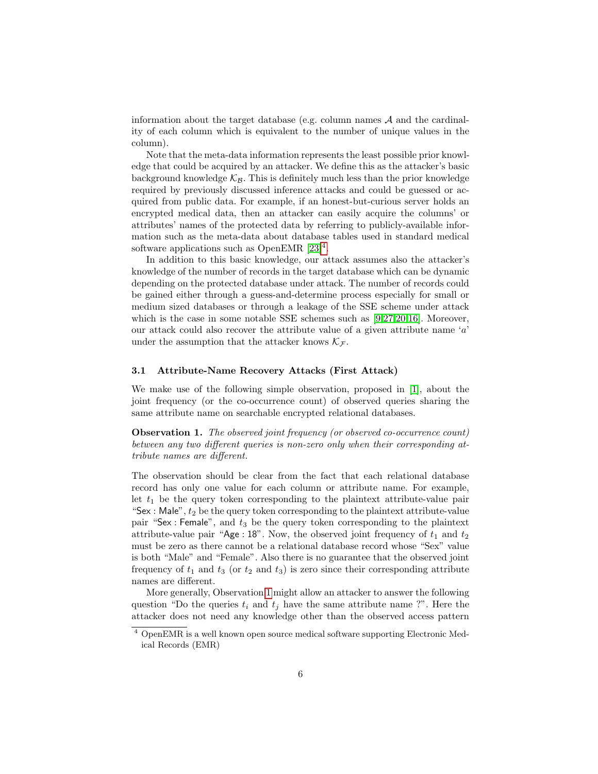information about the target database (e.g. column names  $A$  and the cardinality of each column which is equivalent to the number of unique values in the column).

Note that the meta-data information represents the least possible prior knowledge that could be acquired by an attacker. We define this as the attacker's basic background knowledge  $K_B$ . This is definitely much less than the prior knowledge required by previously discussed inference attacks and could be guessed or acquired from public data. For example, if an honest-but-curious server holds an encrypted medical data, then an attacker can easily acquire the columns' or attributes' names of the protected data by referring to publicly-available information such as the meta-data about database tables used in standard medical software applications such as OpenEMR  $[23]^4$  $[23]^4$  $[23]^4$ .

In addition to this basic knowledge, our attack assumes also the attacker's knowledge of the number of records in the target database which can be dynamic depending on the protected database under attack. The number of records could be gained either through a guess-and-determine process especially for small or medium sized databases or through a leakage of the SSE scheme under attack which is the case in some notable SSE schemes such as  $[9,27,20,16]$  $[9,27,20,16]$  $[9,27,20,16]$  $[9,27,20,16]$ . Moreover, our attack could also recover the attribute value of a given attribute name 'a' under the assumption that the attacker knows  $\mathcal{K}_{\mathcal{F}}$ .

#### 3.1 Attribute-Name Recovery Attacks (First Attack)

We make use of the following simple observation, proposed in [\[1\]](#page-16-7), about the joint frequency (or the co-occurrence count) of observed queries sharing the same attribute name on searchable encrypted relational databases.

<span id="page-5-0"></span>Observation 1. The observed joint frequency (or observed co-occurrence count) between any two different queries is non-zero only when their corresponding attribute names are different.

The observation should be clear from the fact that each relational database record has only one value for each column or attribute name. For example, let  $t_1$  be the query token corresponding to the plaintext attribute-value pair "Sex : Male",  $t_2$  be the query token corresponding to the plaintext attribute-value pair "Sex : Female", and  $t_3$  be the query token corresponding to the plaintext attribute-value pair "Age : 18". Now, the observed joint frequency of  $t_1$  and  $t_2$ must be zero as there cannot be a relational database record whose "Sex" value is both "Male" and "Female". Also there is no guarantee that the observed joint frequency of  $t_1$  and  $t_3$  (or  $t_2$  and  $t_3$ ) is zero since their corresponding attribute names are different.

More generally, Observation [1](#page-5-0) might allow an attacker to answer the following question "Do the queries  $t_i$  and  $t_j$  have the same attribute name ?". Here the attacker does not need any knowledge other than the observed access pattern

<span id="page-5-1"></span><sup>4</sup> OpenEMR is a well known open source medical software supporting Electronic Medical Records (EMR)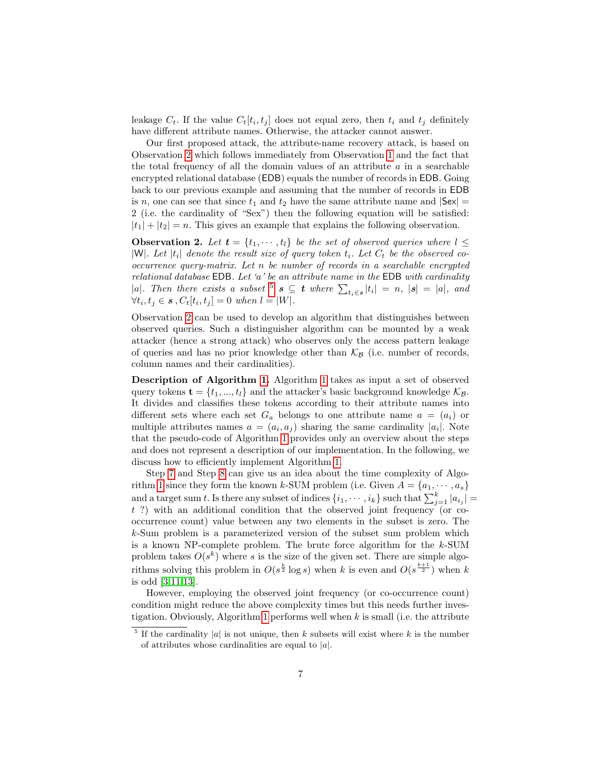leakage  $C_t$ . If the value  $C_t[t_i, t_j]$  does not equal zero, then  $t_i$  and  $t_j$  definitely have different attribute names. Otherwise, the attacker cannot answer.

Our first proposed attack, the attribute-name recovery attack, is based on Observation [2](#page-6-0) which follows immediately from Observation [1](#page-5-0) and the fact that the total frequency of all the domain values of an attribute  $a$  in a searchable encrypted relational database (EDB) equals the number of records in EDB. Going back to our previous example and assuming that the number of records in EDB is n, one can see that since  $t_1$  and  $t_2$  have the same attribute name and  $|\mathsf{Sex}| =$ 2 (i.e. the cardinality of "Sex") then the following equation will be satisfied:  $|t_1| + |t_2| = n$ . This gives an example that explains the following observation.

<span id="page-6-0"></span>**Observation 2.** Let  $t = \{t_1, \dots, t_l\}$  be the set of observed queries where  $l \leq$  $|W|$ . Let  $|t_i|$  denote the result size of query token  $t_i$ . Let  $C_t$  be the observed co $occurrence\ query-matrix. Let\ n\ be\ number\ of\ records\ in\ a\ searchable\ encrypted$ relational database EDB. Let 'a' be an attribute name in the EDB with cardinality |a|. Then there exists a subset  $5 \text{ s } \subseteq t$  $5 \text{ s } \subseteq t$  where  $\sum_{t_i \in s} |t_i| = n$ ,  $|s| = |a|$ , and  $\forall t_i, t_j \in \mathcal{S}, C_t[t_i, t_j] = 0$  when  $l = |W|$ .

Observation [2](#page-6-0) can be used to develop an algorithm that distinguishes between observed queries. Such a distinguisher algorithm can be mounted by a weak attacker (hence a strong attack) who observes only the access pattern leakage of queries and has no prior knowledge other than  $\mathcal{K}_{\mathcal{B}}$  (i.e. number of records, column names and their cardinalities).

Description of Algorithm [1.](#page-7-0) Algorithm [1](#page-7-0) takes as input a set of observed query tokens  $\mathbf{t} = \{t_1, ..., t_l\}$  and the attacker's basic background knowledge  $\mathcal{K}_{\mathcal{B}}$ . It divides and classifies these tokens according to their attribute names into different sets where each set  $G_a$  belongs to one attribute name  $a = (a_i)$  or multiple attributes names  $a = (a_i, a_j)$  sharing the same cardinality  $|a_i|$ . Note that the pseudo-code of Algorithm [1](#page-7-0) provides only an overview about the steps and does not represent a description of our implementation. In the following, we discuss how to efficiently implement Algorithm [1.](#page-7-0)

Step [7](#page-7-0) and Step [8](#page-7-0) can give us an idea about the time complexity of Algo-rithm [1](#page-7-0) since they form the known k-SUM problem (i.e. Given  $A = \{a_1, \dots, a_s\}$ and a target sum t. Is there any subset of indices  $\{i_1, \dots, i_k\}$  such that  $\sum_{j=1}^k |a_{i_j}| =$ t ?) with an additional condition that the observed joint frequency (or cooccurrence count) value between any two elements in the subset is zero. The k-Sum problem is a parameterized version of the subset sum problem which is a known NP-complete problem. The brute force algorithm for the k-SUM problem takes  $O(s^k)$  where s is the size of the given set. There are simple algorithms solving this problem in  $O(s^{\frac{k}{2}} \log s)$  when k is even and  $O(s^{\frac{k+1}{2}})$  when k is odd [\[3](#page-16-16)[,11,](#page-16-17)[13\]](#page-16-18).

However, employing the observed joint frequency (or co-occurrence count) condition might reduce the above complexity times but this needs further inves-tigation. Obviously, Algorithm [1](#page-7-0) performs well when  $k$  is small (i.e. the attribute

<span id="page-6-1"></span><sup>&</sup>lt;sup>5</sup> If the cardinality |a| is not unique, then k subsets will exist where k is the number of attributes whose cardinalities are equal to  $|a|$ .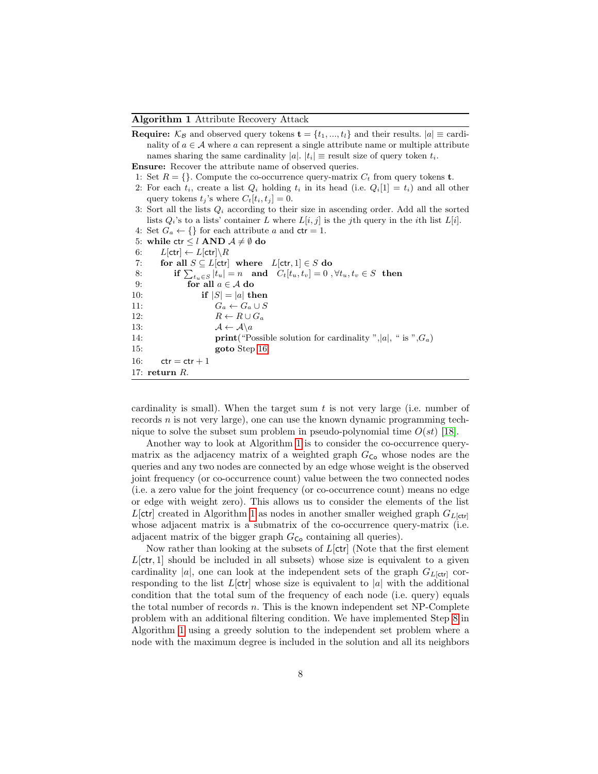#### <span id="page-7-0"></span>Algorithm 1 Attribute Recovery Attack

**Require:**  $\mathcal{K}_{\mathcal{B}}$  and observed query tokens  $\mathbf{t} = \{t_1, ..., t_l\}$  and their results.  $|a| \equiv \text{cardi}$ nality of  $a \in \mathcal{A}$  where a can represent a single attribute name or multiple attribute names sharing the same cardinality  $|a|$ .  $|t_i| \equiv$  result size of query token  $t_i$ . Ensure: Recover the attribute name of observed queries. 1: Set  $R = \{\}.$  Compute the co-occurrence query-matrix  $C_t$  from query tokens **t**. 2: For each  $t_i$ , create a list  $Q_i$  holding  $t_i$  in its head (i.e.  $Q_i[1] = t_i$ ) and all other query tokens  $t_j$ 's where  $C_t[t_i, t_j] = 0$ . 3: Sort all the lists  $Q_i$  according to their size in ascending order. Add all the sorted lists  $Q_i$ 's to a lists' container L where  $L[i, j]$  is the jth query in the *i*th list  $L[i]$ . 4: Set  $G_a \leftarrow \{\}$  for each attribute a and  $ctr = 1$ . 5: while  $\text{ctr} \leq l$  AND  $\mathcal{A} \neq \emptyset$  do 6:  $L[\text{ctr}] \leftarrow L[\text{ctr}] \setminus R$ 7: for all  $S \subseteq L[\text{ctr}]$  where  $L[\text{ctr}, 1] \in S$  do 8: if  $\sum_{t_u \in S} |t_u| = n$  and  $C_t[t_u, t_v] = 0$ ,  $\forall t_u, t_v \in S$  then 9: for all  $a \in \mathcal{A}$  do 10: if  $|S| = |a|$  then 11:  $G_a \leftarrow G_a \cup S$ 12:  $R \leftarrow R \cup G_a$ 13:  $A \leftarrow A \setminus a$ 14: **print** ("Possible solution for cardinality ", |a|, " is ",  $G_a$ ) 15: goto Step [16](#page-7-0) 16:  $ctr = cr + 1$ 17: return R.

cardinality is small). When the target sum  $t$  is not very large (i.e. number of records  $n$  is not very large), one can use the known dynamic programming technique to solve the subset sum problem in pseudo-polynomial time  $O(st)$  [\[18\]](#page-16-19).

Another way to look at Algorithm [1](#page-7-0) is to consider the co-occurrence querymatrix as the adjacency matrix of a weighted graph  $G_{\mathsf{Co}}$  whose nodes are the queries and any two nodes are connected by an edge whose weight is the observed joint frequency (or co-occurrence count) value between the two connected nodes (i.e. a zero value for the joint frequency (or co-occurrence count) means no edge or edge with weight zero). This allows us to consider the elements of the list  $L[\text{ctr}]$  created in Algorithm [1](#page-7-0) as nodes in another smaller weighed graph  $G_{L[\text{ctrl}]}$ whose adjacent matrix is a submatrix of the co-occurrence query-matrix (i.e. adjacent matrix of the bigger graph  $G_{\mathsf{Co}}$  containing all queries).

Now rather than looking at the subsets of  $L[\text{ctr}]$  (Note that the first element  $L[\text{ctr}, 1]$  should be included in all subsets) whose size is equivalent to a given cardinality |a|, one can look at the independent sets of the graph  $G_{L[\text{ctrl}]}$  corresponding to the list  $L[\text{ctr}]$  whose size is equivalent to |a| with the additional condition that the total sum of the frequency of each node (i.e. query) equals the total number of records  $n$ . This is the known independent set NP-Complete problem with an additional filtering condition. We have implemented Step [8](#page-7-0) in Algorithm [1](#page-7-0) using a greedy solution to the independent set problem where a node with the maximum degree is included in the solution and all its neighbors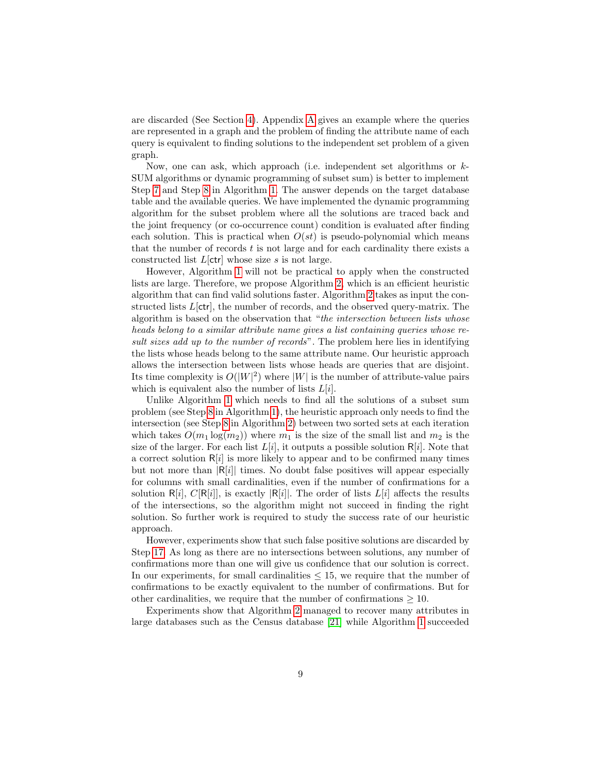are discarded (See Section [4\)](#page-11-0). Appendix [A](#page-17-5) gives an example where the queries are represented in a graph and the problem of finding the attribute name of each query is equivalent to finding solutions to the independent set problem of a given graph.

Now, one can ask, which approach (i.e. independent set algorithms or  $k$ -SUM algorithms or dynamic programming of subset sum) is better to implement Step [7](#page-7-0) and Step [8](#page-7-0) in Algorithm [1.](#page-7-0) The answer depends on the target database table and the available queries. We have implemented the dynamic programming algorithm for the subset problem where all the solutions are traced back and the joint frequency (or co-occurrence count) condition is evaluated after finding each solution. This is practical when  $O(st)$  is pseudo-polynomial which means that the number of records  $t$  is not large and for each cardinality there exists a constructed list  $L[\text{ctr}]$  whose size s is not large.

However, Algorithm [1](#page-7-0) will not be practical to apply when the constructed lists are large. Therefore, we propose Algorithm [2,](#page-9-0) which is an efficient heuristic algorithm that can find valid solutions faster. Algorithm [2](#page-9-0) takes as input the constructed lists  $L[ctr]$ , the number of records, and the observed query-matrix. The algorithm is based on the observation that "the intersection between lists whose heads belong to a similar attribute name gives a list containing queries whose result sizes add up to the number of records". The problem here lies in identifying the lists whose heads belong to the same attribute name. Our heuristic approach allows the intersection between lists whose heads are queries that are disjoint. Its time complexity is  $O(|W|^2)$  where |W| is the number of attribute-value pairs which is equivalent also the number of lists  $L[i]$ .

Unlike Algorithm [1](#page-7-0) which needs to find all the solutions of a subset sum problem (see Step [8](#page-7-0) in Algorithm [1\)](#page-7-0), the heuristic approach only needs to find the intersection (see Step [8](#page-9-0) in Algorithm [2\)](#page-9-0) between two sorted sets at each iteration which takes  $O(m_1 \log(m_2))$  where  $m_1$  is the size of the small list and  $m_2$  is the size of the larger. For each list  $L[i]$ , it outputs a possible solution  $R[i]$ . Note that a correct solution  $R[i]$  is more likely to appear and to be confirmed many times but not more than  $|R[i]|$  times. No doubt false positives will appear especially for columns with small cardinalities, even if the number of confirmations for a solution  $R[i], C[R[i]],$  is exactly  $|R[i]].$  The order of lists  $L[i]$  affects the results of the intersections, so the algorithm might not succeed in finding the right solution. So further work is required to study the success rate of our heuristic approach.

However, experiments show that such false positive solutions are discarded by Step [17.](#page-9-0) As long as there are no intersections between solutions, any number of confirmations more than one will give us confidence that our solution is correct. In our experiments, for small cardinalities  $\leq 15$ , we require that the number of confirmations to be exactly equivalent to the number of confirmations. But for other cardinalities, we require that the number of confirmations  $\geq 10$ .

Experiments show that Algorithm [2](#page-9-0) managed to recover many attributes in large databases such as the Census database [\[21\]](#page-16-20) while Algorithm [1](#page-7-0) succeeded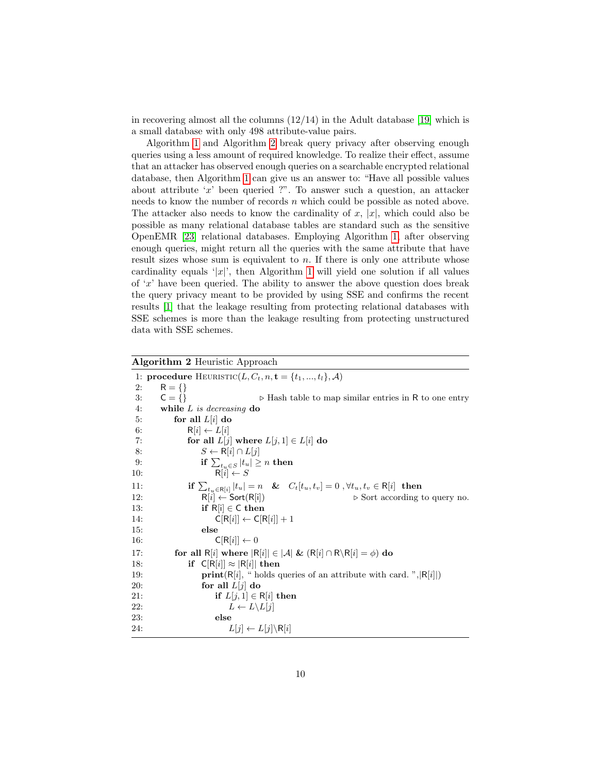in recovering almost all the columns  $(12/14)$  in the Adult database [\[19\]](#page-16-8) which is a small database with only 498 attribute-value pairs.

Algorithm [1](#page-7-0) and Algorithm [2](#page-9-0) break query privacy after observing enough queries using a less amount of required knowledge. To realize their effect, assume that an attacker has observed enough queries on a searchable encrypted relational database, then Algorithm [1](#page-7-0) can give us an answer to: "Have all possible values about attribute 'x' been queried ?". To answer such a question, an attacker needs to know the number of records  $n$  which could be possible as noted above. The attacker also needs to know the cardinality of  $x, |x|$ , which could also be possible as many relational database tables are standard such as the sensitive OpenEMR [\[23\]](#page-17-3) relational databases. Employing Algorithm [1,](#page-7-0) after observing enough queries, might return all the queries with the same attribute that have result sizes whose sum is equivalent to  $n$ . If there is only one attribute whose cardinality equals '|x|', then Algorithm [1](#page-7-0) will yield one solution if all values of  $x'$  have been queried. The ability to answer the above question does break the query privacy meant to be provided by using SSE and confirms the recent results [\[1\]](#page-16-7) that the leakage resulting from protecting relational databases with SSE schemes is more than the leakage resulting from protecting unstructured data with SSE schemes.

<span id="page-9-0"></span>Algorithm 2 Heuristic Approach

|            | 1: procedure HEURISTIC( $L, C_t, n, t = \{t_1, , t_l\}, \mathcal{A}$ )                                        |  |
|------------|---------------------------------------------------------------------------------------------------------------|--|
|            |                                                                                                               |  |
| 2:         | $R = \{\}$                                                                                                    |  |
| 3:         | $C = \{\}$<br>$\triangleright$ Hash table to map similar entries in R to one entry                            |  |
| 4:         | while $L$ is decreasing do                                                                                    |  |
| 5:         | for all $L[i]$ do                                                                                             |  |
| 6:         | $R[i] \leftarrow L[i]$                                                                                        |  |
| 7:         | for all $L[i]$ where $L[i, 1] \in L[i]$ do                                                                    |  |
| 8:         | $S \leftarrow R[i] \cap L[i]$                                                                                 |  |
| 9:         | if $\sum_{t_u \in S}  t_u  \geq n$ then                                                                       |  |
| 10:        | $R[i] \leftarrow S$                                                                                           |  |
| 11:        | if $\sum_{t_u \in \mathsf{R}[i]}  t_u  = n$ & $C_t[t_u, t_v] = 0$ , $\forall t_u, t_v \in \mathsf{R}[i]$ then |  |
| 12:        | $R[i] \leftarrow Sort(R[i])$<br>$\triangleright$ Sort according to query no.                                  |  |
| 13:        | if $R[i] \in C$ then                                                                                          |  |
| 14:        | $C[R[i]] \leftarrow C[R[i]] + 1$                                                                              |  |
| 15:        | else                                                                                                          |  |
| 16:        | $\mathsf{C}[\mathsf{R}[i]] \leftarrow 0$                                                                      |  |
| 17:        | for all R[i] where $ R[i]  \in  \mathcal{A}  \& (R[i] \cap R \setminus R[i] = \phi)$ do                       |  |
| 18:        | if $C[R[i]] \approx  R[i] $ then                                                                              |  |
| 19:        | $\text{print}(R[i], "holds queries of an attribute with card."  R[i] )$                                       |  |
| <b>20:</b> | for all $L[i]$ do                                                                                             |  |
| 21:        | if $L[i, 1] \in R[i]$ then                                                                                    |  |
| 22:        | $L \leftarrow L\backslash L[j]$                                                                               |  |
| 23:        | else                                                                                                          |  |
| 24:        | $L[j] \leftarrow L[j] \backslash R[i]$                                                                        |  |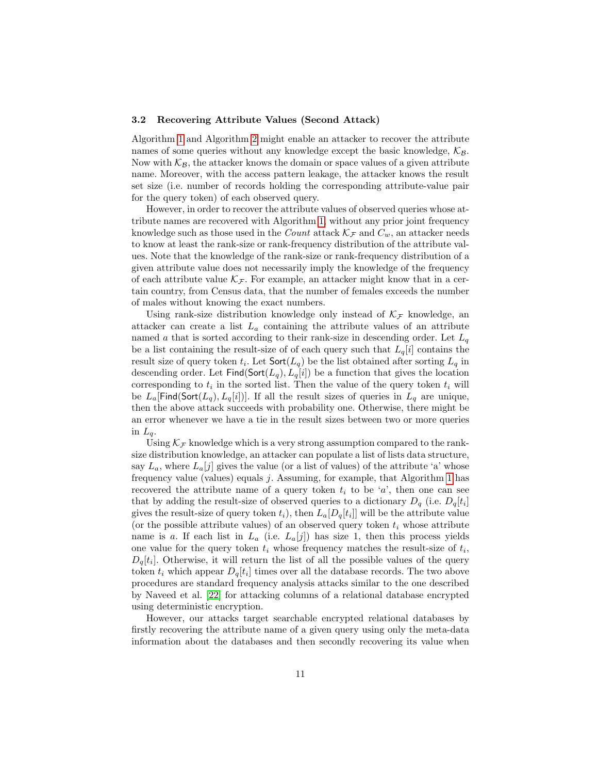#### <span id="page-10-0"></span>3.2 Recovering Attribute Values (Second Attack)

Algorithm [1](#page-7-0) and Algorithm [2](#page-9-0) might enable an attacker to recover the attribute names of some queries without any knowledge except the basic knowledge,  $\mathcal{K}_{\mathcal{B}}$ . Now with  $\mathcal{K}_{\mathcal{B}}$ , the attacker knows the domain or space values of a given attribute name. Moreover, with the access pattern leakage, the attacker knows the result set size (i.e. number of records holding the corresponding attribute-value pair for the query token) of each observed query.

However, in order to recover the attribute values of observed queries whose attribute names are recovered with Algorithm [1,](#page-7-0) without any prior joint frequency knowledge such as those used in the *Count* attack  $\mathcal{K}_{\mathcal{F}}$  and  $C_w$ , an attacker needs to know at least the rank-size or rank-frequency distribution of the attribute values. Note that the knowledge of the rank-size or rank-frequency distribution of a given attribute value does not necessarily imply the knowledge of the frequency of each attribute value  $\mathcal{K}_{\mathcal{F}}$ . For example, an attacker might know that in a certain country, from Census data, that the number of females exceeds the number of males without knowing the exact numbers.

Using rank-size distribution knowledge only instead of  $\mathcal{K}_{\mathcal{F}}$  knowledge, an attacker can create a list  $L_a$  containing the attribute values of an attribute named a that is sorted according to their rank-size in descending order. Let  $L_q$ be a list containing the result-size of of each query such that  $L_q[i]$  contains the result size of query token  $t_i$ . Let  $\mathsf{Sort}(L_q)$  be the list obtained after sorting  $L_q$  in descending order. Let  $\text{Find}(\text{Sort}(L_q), L_q[i])$  be a function that gives the location corresponding to  $t_i$  in the sorted list. Then the value of the query token  $t_i$  will be  $L_a$  [Find(Sort( $L_q$ ),  $L_q[i]$ ]. If all the result sizes of queries in  $L_q$  are unique, then the above attack succeeds with probability one. Otherwise, there might be an error whenever we have a tie in the result sizes between two or more queries in  $L_q$ .

Using  $\mathcal{K}_{\mathcal{F}}$  knowledge which is a very strong assumption compared to the ranksize distribution knowledge, an attacker can populate a list of lists data structure, say  $L_a$ , where  $L_a[j]$  gives the value (or a list of values) of the attribute 'a' whose frequency value (values) equals  $j$ . Assuming, for example, that Algorithm [1](#page-7-0) has recovered the attribute name of a query token  $t_i$  to be 'a', then one can see that by adding the result-size of observed queries to a dictionary  $D_q$  (i.e.  $D_q[t_i]$ ) gives the result-size of query token  $t_i$ ), then  $L_a[D_q[t_i]]$  will be the attribute value (or the possible attribute values) of an observed query token  $t_i$  whose attribute name is a. If each list in  $L_a$  (i.e.  $L_a[j]$ ) has size 1, then this process yields one value for the query token  $t_i$  whose frequency matches the result-size of  $t_i$ ,  $D_q[t_i]$ . Otherwise, it will return the list of all the possible values of the query token  $t_i$  which appear  $D_q[t_i]$  times over all the database records. The two above procedures are standard frequency analysis attacks similar to the one described by Naveed et al. [\[22\]](#page-16-9) for attacking columns of a relational database encrypted using deterministic encryption.

However, our attacks target searchable encrypted relational databases by firstly recovering the attribute name of a given query using only the meta-data information about the databases and then secondly recovering its value when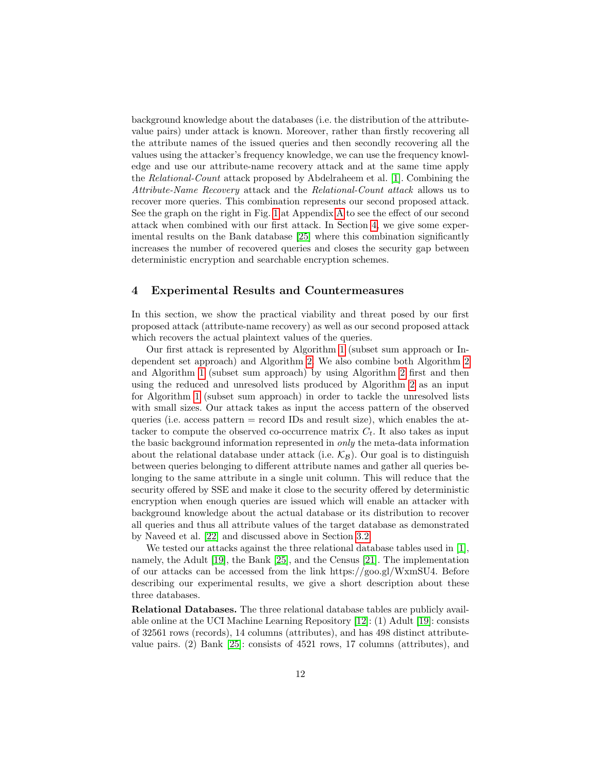background knowledge about the databases (i.e. the distribution of the attributevalue pairs) under attack is known. Moreover, rather than firstly recovering all the attribute names of the issued queries and then secondly recovering all the values using the attacker's frequency knowledge, we can use the frequency knowledge and use our attribute-name recovery attack and at the same time apply the Relational-Count attack proposed by Abdelraheem et al. [\[1\]](#page-16-7). Combining the Attribute-Name Recovery attack and the Relational-Count attack allows us to recover more queries. This combination represents our second proposed attack. See the graph on the right in Fig. [1](#page-19-0) at Appendix [A](#page-17-5) to see the effect of our second attack when combined with our first attack. In Section [4,](#page-11-0) we give some experimental results on the Bank database [\[25\]](#page-17-1) where this combination significantly increases the number of recovered queries and closes the security gap between deterministic encryption and searchable encryption schemes.

## <span id="page-11-0"></span>4 Experimental Results and Countermeasures

In this section, we show the practical viability and threat posed by our first proposed attack (attribute-name recovery) as well as our second proposed attack which recovers the actual plaintext values of the queries.

Our first attack is represented by Algorithm [1](#page-7-0) (subset sum approach or Independent set approach) and Algorithm [2.](#page-9-0) We also combine both Algorithm [2](#page-9-0) and Algorithm [1](#page-7-0) (subset sum approach) by using Algorithm [2](#page-9-0) first and then using the reduced and unresolved lists produced by Algorithm [2](#page-9-0) as an input for Algorithm [1](#page-7-0) (subset sum approach) in order to tackle the unresolved lists with small sizes. Our attack takes as input the access pattern of the observed queries (i.e. access pattern  $=$  record IDs and result size), which enables the attacker to compute the observed co-occurrence matrix  $C_t$ . It also takes as input the basic background information represented in only the meta-data information about the relational database under attack (i.e.  $\mathcal{K}_{\mathcal{B}}$ ). Our goal is to distinguish between queries belonging to different attribute names and gather all queries belonging to the same attribute in a single unit column. This will reduce that the security offered by SSE and make it close to the security offered by deterministic encryption when enough queries are issued which will enable an attacker with background knowledge about the actual database or its distribution to recover all queries and thus all attribute values of the target database as demonstrated by Naveed et al. [\[22\]](#page-16-9) and discussed above in Section [3.2.](#page-10-0)

We tested our attacks against the three relational database tables used in [\[1\]](#page-16-7), namely, the Adult [\[19\]](#page-16-8), the Bank [\[25\]](#page-17-1), and the Census [\[21\]](#page-16-20). The implementation of our attacks can be accessed from the link https://goo.gl/WxmSU4. Before describing our experimental results, we give a short description about these three databases.

Relational Databases. The three relational database tables are publicly available online at the UCI Machine Learning Repository [\[12\]](#page-16-21): (1) Adult [\[19\]](#page-16-8): consists of 32561 rows (records), 14 columns (attributes), and has 498 distinct attributevalue pairs. (2) Bank [\[25\]](#page-17-1): consists of 4521 rows, 17 columns (attributes), and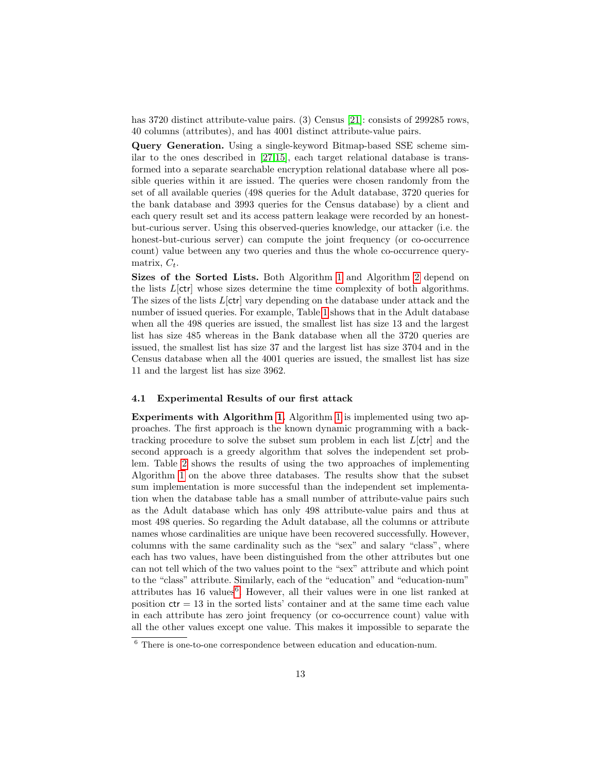has 3720 distinct attribute-value pairs. (3) Census [\[21\]](#page-16-20): consists of 299285 rows, 40 columns (attributes), and has 4001 distinct attribute-value pairs.

Query Generation. Using a single-keyword Bitmap-based SSE scheme similar to the ones described in [\[27,](#page-17-4)[15\]](#page-16-4), each target relational database is transformed into a separate searchable encryption relational database where all possible queries within it are issued. The queries were chosen randomly from the set of all available queries (498 queries for the Adult database, 3720 queries for the bank database and 3993 queries for the Census database) by a client and each query result set and its access pattern leakage were recorded by an honestbut-curious server. Using this observed-queries knowledge, our attacker (i.e. the honest-but-curious server) can compute the joint frequency (or co-occurrence count) value between any two queries and thus the whole co-occurrence querymatrix,  $C_t$ .

Sizes of the Sorted Lists. Both Algorithm [1](#page-7-0) and Algorithm [2](#page-9-0) depend on the lists L[ctr] whose sizes determine the time complexity of both algorithms. The sizes of the lists  $L[\text{ctr}]$  vary depending on the database under attack and the number of issued queries. For example, Table [1](#page-13-0) shows that in the Adult database when all the 498 queries are issued, the smallest list has size 13 and the largest list has size 485 whereas in the Bank database when all the 3720 queries are issued, the smallest list has size 37 and the largest list has size 3704 and in the Census database when all the 4001 queries are issued, the smallest list has size 11 and the largest list has size 3962.

### 4.1 Experimental Results of our first attack

Experiments with Algorithm [1.](#page-7-0) Algorithm [1](#page-7-0) is implemented using two approaches. The first approach is the known dynamic programming with a backtracking procedure to solve the subset sum problem in each list  $L[\text{ctr}]$  and the second approach is a greedy algorithm that solves the independent set problem. Table [2](#page-14-0) shows the results of using the two approaches of implementing Algorithm [1](#page-7-0) on the above three databases. The results show that the subset sum implementation is more successful than the independent set implementation when the database table has a small number of attribute-value pairs such as the Adult database which has only 498 attribute-value pairs and thus at most 498 queries. So regarding the Adult database, all the columns or attribute names whose cardinalities are unique have been recovered successfully. However, columns with the same cardinality such as the "sex" and salary "class", where each has two values, have been distinguished from the other attributes but one can not tell which of the two values point to the "sex" attribute and which point to the "class" attribute. Similarly, each of the "education" and "education-num" attributes has 1[6](#page-12-0) values<sup>6</sup>. However, all their values were in one list ranked at position  $ctr = 13$  in the sorted lists' container and at the same time each value in each attribute has zero joint frequency (or co-occurrence count) value with all the other values except one value. This makes it impossible to separate the

<span id="page-12-0"></span><sup>6</sup> There is one-to-one correspondence between education and education-num.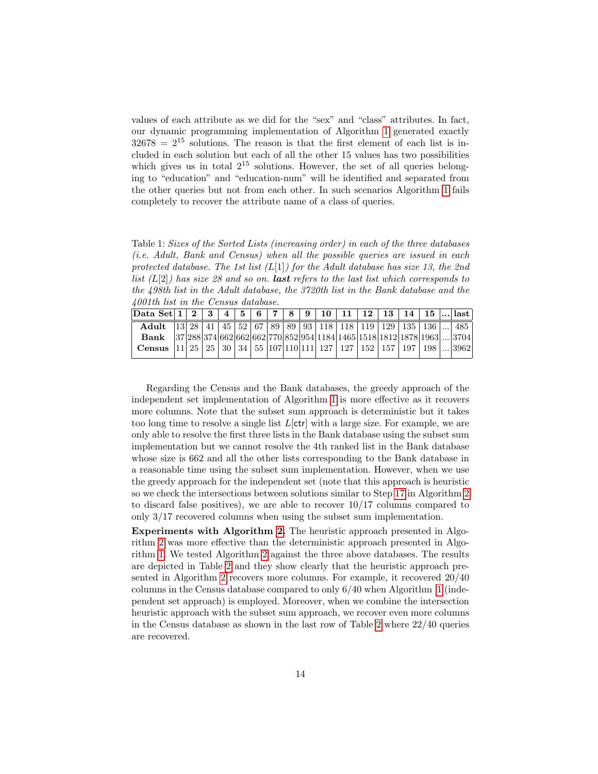values of each attribute as we did for the "sex" and "class" attributes. In fact, our dynamic programming implementation of Algorithm [1](#page-7-0) generated exactly  $32678 = 2^{15}$  solutions. The reason is that the first element of each list is included in each solution but each of all the other 15 values has two possibilities which gives us in total  $2^{15}$  solutions. However, the set of all queries belonging to "education" and "education-num" will be identified and separated from the other queries but not from each other. In such scenarios Algorithm [1](#page-7-0) fails completely to recover the attribute name of a class of queries.

<span id="page-13-0"></span>Table 1: Sizes of the Sorted Lists (increasing order) in each of the three databases (i.e. Adult, Bank and Census) when all the possible queries are issued in each protected database. The 1st list  $(L[1])$  for the Adult database has size 13, the 2nd list  $(L[2])$  has size 28 and so on. **last** refers to the last list which corresponds to the 498th list in the Adult database, the 3720th list in the Bank database and the 4001th list in the Census database.

| <b>Adult</b> $\begin{bmatrix} 13 & 28 & 41 & 45 & 52 & 67 & 89 & 89 & 93 & 118 & 118 & 119 & 129 & 135 & 136 & \dots & 485 \end{bmatrix}$ |  |  |  |  |  |  |  |  |                                                                           |
|-------------------------------------------------------------------------------------------------------------------------------------------|--|--|--|--|--|--|--|--|---------------------------------------------------------------------------|
| Bank                                                                                                                                      |  |  |  |  |  |  |  |  | $ 37 288 374 662 662 662 770 852 954 1184 1465 1518 1812 1878 1963  3704$ |
| <b>Census</b> $ 11 $ 25 $ 25 $ 30 $ 34 $ 55 $ 107 110 111 $ 127 $ 127 $ 152 $ 157 $ 197 $ 198  3962 $                                     |  |  |  |  |  |  |  |  |                                                                           |
|                                                                                                                                           |  |  |  |  |  |  |  |  |                                                                           |

Regarding the Census and the Bank databases, the greedy approach of the independent set implementation of Algorithm [1](#page-7-0) is more effective as it recovers more columns. Note that the subset sum approach is deterministic but it takes too long time to resolve a single list  $L[\text{ctr}]$  with a large size. For example, we are only able to resolve the first three lists in the Bank database using the subset sum implementation but we cannot resolve the 4th ranked list in the Bank database whose size is 662 and all the other lists corresponding to the Bank database in a reasonable time using the subset sum implementation. However, when we use the greedy approach for the independent set (note that this approach is heuristic so we check the intersections between solutions similar to Step [17](#page-9-0) in Algorithm [2](#page-9-0) to discard false positives), we are able to recover 10/17 columns compared to only 3/17 recovered columns when using the subset sum implementation.

Experiments with Algorithm [2.](#page-9-0) The heuristic approach presented in Algorithm [2](#page-9-0) was more effective than the deterministic approach presented in Algorithm [1.](#page-7-0) We tested Algorithm [2](#page-9-0) against the three above databases. The results are depicted in Table [2](#page-14-0) and they show clearly that the heuristic approach presented in Algorithm [2](#page-9-0) recovers more columns. For example, it recovered 20/40 columns in the Census database compared to only 6/40 when Algorithm [1](#page-7-0) (independent set approach) is employed. Moreover, when we combine the intersection heuristic approach with the subset sum approach, we recover even more columns in the Census database as shown in the last row of Table [2](#page-14-0) where 22/40 queries are recovered.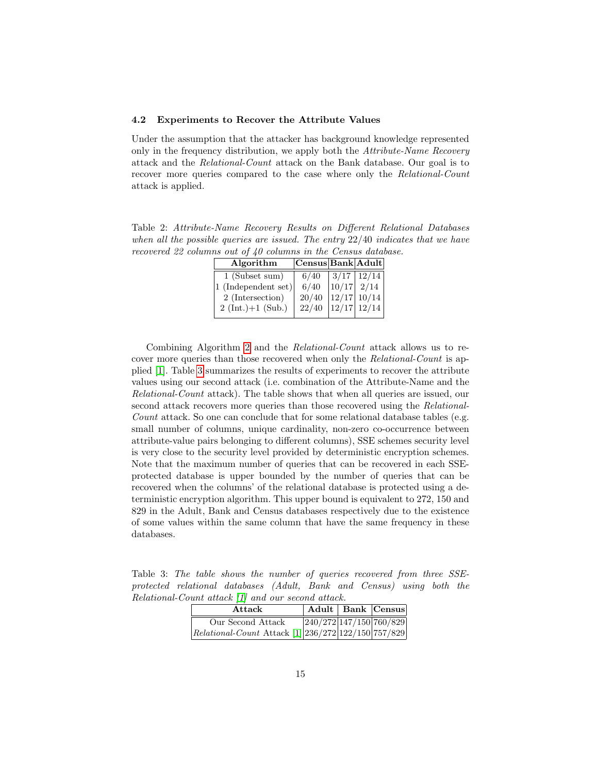#### 4.2 Experiments to Recover the Attribute Values

Under the assumption that the attacker has background knowledge represented only in the frequency distribution, we apply both the Attribute-Name Recovery attack and the Relational-Count attack on the Bank database. Our goal is to recover more queries compared to the case where only the Relational-Count attack is applied.

<span id="page-14-0"></span>Table 2: Attribute-Name Recovery Results on Different Relational Databases when all the possible queries are issued. The entry  $22/40$  indicates that we have recovered 22 columns out of 40 columns in the Census database.

| Algorithm             | Census Bank Adult |                |                  |
|-----------------------|-------------------|----------------|------------------|
| 1 (Subset sum)        | 6/40              |                | $3/17$   $12/14$ |
| $1$ (Independent set) | 6/40              | $ 10/17 $ 2/14 |                  |
| 2 (Intersection)      | 20/40             |                | $12/17$ 10/14    |
| $2 (Int.) + 1 (Sub.)$ | 22/40             |                | $12/17$ 12/14    |

Combining Algorithm [2](#page-9-0) and the Relational-Count attack allows us to recover more queries than those recovered when only the Relational-Count is applied [\[1\]](#page-16-7). Table [3](#page-14-1) summarizes the results of experiments to recover the attribute values using our second attack (i.e. combination of the Attribute-Name and the Relational-Count attack). The table shows that when all queries are issued, our second attack recovers more queries than those recovered using the Relational-Count attack. So one can conclude that for some relational database tables (e.g. small number of columns, unique cardinality, non-zero co-occurrence between attribute-value pairs belonging to different columns), SSE schemes security level is very close to the security level provided by deterministic encryption schemes. Note that the maximum number of queries that can be recovered in each SSEprotected database is upper bounded by the number of queries that can be recovered when the columns' of the relational database is protected using a deterministic encryption algorithm. This upper bound is equivalent to 272, 150 and 829 in the Adult, Bank and Census databases respectively due to the existence of some values within the same column that have the same frequency in these databases.

<span id="page-14-1"></span>Table 3: The table shows the number of queries recovered from three SSEprotected relational databases (Adult, Bank and Census) using both the Relational-Count attack [\[1\]](#page-16-7) and our second attack.

| Attack                                                                                |  | Adult   Bank   Census                       |
|---------------------------------------------------------------------------------------|--|---------------------------------------------|
| Our Second Attack                                                                     |  | $\sqrt{240/272\left 147/150\right 760/829}$ |
| $\vert$ Relational-Count Attack [1] $\vert 236/272 \vert 122/150 \vert 757/829 \vert$ |  |                                             |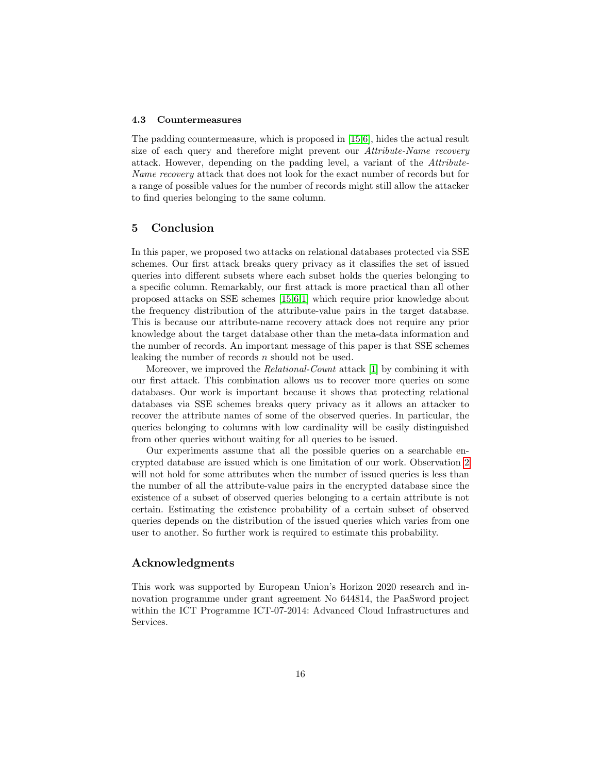#### 4.3 Countermeasures

The padding countermeasure, which is proposed in [\[15,](#page-16-4)[6\]](#page-16-5), hides the actual result size of each query and therefore might prevent our Attribute-Name recovery attack. However, depending on the padding level, a variant of the Attribute-Name recovery attack that does not look for the exact number of records but for a range of possible values for the number of records might still allow the attacker to find queries belonging to the same column.

## <span id="page-15-0"></span>5 Conclusion

In this paper, we proposed two attacks on relational databases protected via SSE schemes. Our first attack breaks query privacy as it classifies the set of issued queries into different subsets where each subset holds the queries belonging to a specific column. Remarkably, our first attack is more practical than all other proposed attacks on SSE schemes [\[15](#page-16-4)[,6,](#page-16-5)[1\]](#page-16-7) which require prior knowledge about the frequency distribution of the attribute-value pairs in the target database. This is because our attribute-name recovery attack does not require any prior knowledge about the target database other than the meta-data information and the number of records. An important message of this paper is that SSE schemes leaking the number of records n should not be used.

Moreover, we improved the Relational-Count attack [\[1\]](#page-16-7) by combining it with our first attack. This combination allows us to recover more queries on some databases. Our work is important because it shows that protecting relational databases via SSE schemes breaks query privacy as it allows an attacker to recover the attribute names of some of the observed queries. In particular, the queries belonging to columns with low cardinality will be easily distinguished from other queries without waiting for all queries to be issued.

Our experiments assume that all the possible queries on a searchable encrypted database are issued which is one limitation of our work. Observation [2](#page-6-0) will not hold for some attributes when the number of issued queries is less than the number of all the attribute-value pairs in the encrypted database since the existence of a subset of observed queries belonging to a certain attribute is not certain. Estimating the existence probability of a certain subset of observed queries depends on the distribution of the issued queries which varies from one user to another. So further work is required to estimate this probability.

## Acknowledgments

This work was supported by European Union's Horizon 2020 research and innovation programme under grant agreement No 644814, the PaaSword project within the ICT Programme ICT-07-2014: Advanced Cloud Infrastructures and Services.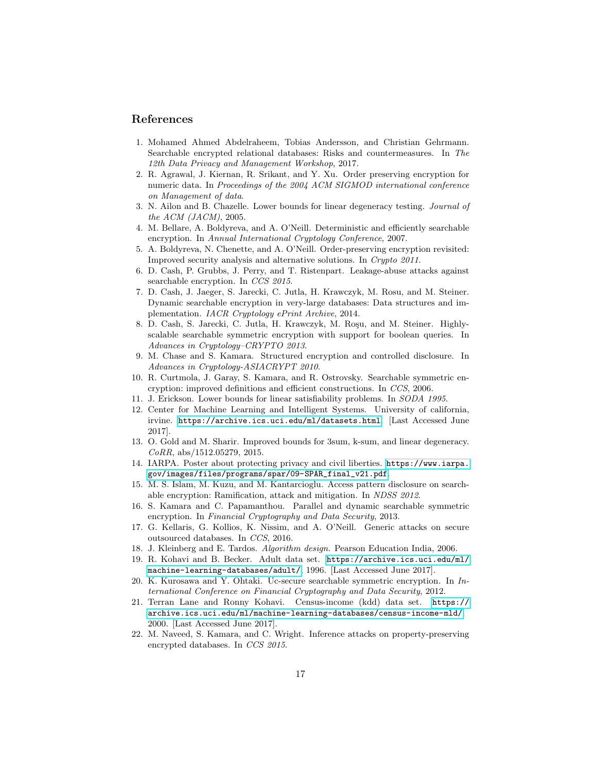## References

- <span id="page-16-7"></span>1. Mohamed Ahmed Abdelraheem, Tobias Andersson, and Christian Gehrmann. Searchable encrypted relational databases: Risks and countermeasures. In The 12th Data Privacy and Management Workshop, 2017.
- <span id="page-16-11"></span>2. R. Agrawal, J. Kiernan, R. Srikant, and Y. Xu. Order preserving encryption for numeric data. In Proceedings of the 2004 ACM SIGMOD international conference on Management of data.
- <span id="page-16-16"></span>3. N. Ailon and B. Chazelle. Lower bounds for linear degeneracy testing. Journal of the ACM (JACM), 2005.
- <span id="page-16-10"></span>4. M. Bellare, A. Boldyreva, and A. O'Neill. Deterministic and efficiently searchable encryption. In Annual International Cryptology Conference, 2007.
- <span id="page-16-12"></span>5. A. Boldyreva, N. Chenette, and A. O'Neill. Order-preserving encryption revisited: Improved security analysis and alternative solutions. In Crypto 2011.
- <span id="page-16-5"></span>6. D. Cash, P. Grubbs, J. Perry, and T. Ristenpart. Leakage-abuse attacks against searchable encryption. In CCS 2015.
- <span id="page-16-3"></span>7. D. Cash, J. Jaeger, S. Jarecki, C. Jutla, H. Krawczyk, M. Rosu, and M. Steiner. Dynamic searchable encryption in very-large databases: Data structures and implementation. IACR Cryptology ePrint Archive, 2014.
- <span id="page-16-2"></span>8. D. Cash, S. Jarecki, C. Jutla, H. Krawczyk, M. Roşu, and M. Steiner. Highlyscalable searchable symmetric encryption with support for boolean queries. In Advances in Cryptology–CRYPTO 2013.
- <span id="page-16-1"></span>9. M. Chase and S. Kamara. Structured encryption and controlled disclosure. In Advances in Cryptology-ASIACRYPT 2010.
- <span id="page-16-0"></span>10. R. Curtmola, J. Garay, S. Kamara, and R. Ostrovsky. Searchable symmetric encryption: improved definitions and efficient constructions. In CCS, 2006.
- <span id="page-16-17"></span>11. J. Erickson. Lower bounds for linear satisfiability problems. In SODA 1995.
- <span id="page-16-21"></span>12. Center for Machine Learning and Intelligent Systems. University of california, irvine. <https://archive.ics.uci.edu/ml/datasets.html>. [Last Accessed June 2017].
- <span id="page-16-18"></span>13. O. Gold and M. Sharir. Improved bounds for 3sum, k-sum, and linear degeneracy. CoRR, abs/1512.05279, 2015.
- <span id="page-16-6"></span>14. IARPA. Poster about protecting privacy and civil liberties. [https://www.iarpa.](https://www.iarpa.gov/images/files/programs/spar/09-SPAR_final_v21.pdf) [gov/images/files/programs/spar/09-SPAR\\_final\\_v21.pdf](https://www.iarpa.gov/images/files/programs/spar/09-SPAR_final_v21.pdf).
- <span id="page-16-4"></span>15. M. S. Islam, M. Kuzu, and M. Kantarcioglu. Access pattern disclosure on searchable encryption: Ramification, attack and mitigation. In NDSS 2012.
- <span id="page-16-15"></span>16. S. Kamara and C. Papamanthou. Parallel and dynamic searchable symmetric encryption. In Financial Cryptography and Data Security, 2013.
- <span id="page-16-13"></span>17. G. Kellaris, G. Kollios, K. Nissim, and A. O'Neill. Generic attacks on secure outsourced databases. In CCS, 2016.
- <span id="page-16-19"></span>18. J. Kleinberg and E. Tardos. Algorithm design. Pearson Education India, 2006.
- <span id="page-16-8"></span>19. R. Kohavi and B. Becker. Adult data set. [https://archive.ics.uci.edu/ml/](https://archive.ics.uci.edu/ml/machine-learning-databases/adult/) [machine-learning-databases/adult/](https://archive.ics.uci.edu/ml/machine-learning-databases/adult/), 1996. [Last Accessed June 2017].
- <span id="page-16-14"></span>20. K. Kurosawa and Y. Ohtaki. Uc-secure searchable symmetric encryption. In International Conference on Financial Cryptography and Data Security, 2012.
- <span id="page-16-20"></span>21. Terran Lane and Ronny Kohavi. Census-income (kdd) data set. [https://](https://archive.ics.uci.edu/ml/machine-learning-databases/census-income-mld/) [archive.ics.uci.edu/ml/machine-learning-databases/census-income-mld/](https://archive.ics.uci.edu/ml/machine-learning-databases/census-income-mld/), 2000. [Last Accessed June 2017].
- <span id="page-16-9"></span>22. M. Naveed, S. Kamara, and C. Wright. Inference attacks on property-preserving encrypted databases. In CCS 2015.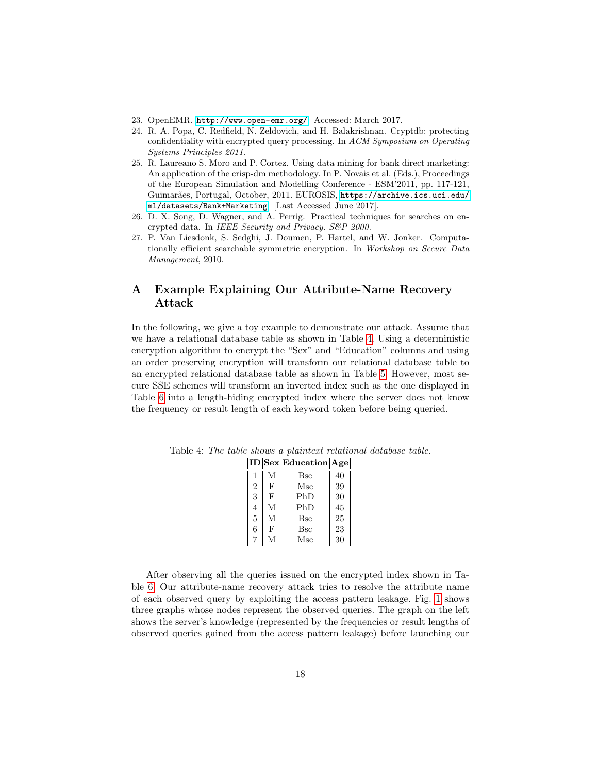- <span id="page-17-3"></span>23. OpenEMR. <http://www.open-emr.org/>. Accessed: March 2017.
- <span id="page-17-2"></span>24. R. A. Popa, C. Redfield, N. Zeldovich, and H. Balakrishnan. Cryptdb: protecting confidentiality with encrypted query processing. In ACM Symposium on Operating Systems Principles 2011.
- <span id="page-17-1"></span>25. R. Laureano S. Moro and P. Cortez. Using data mining for bank direct marketing: An application of the crisp-dm methodology. In P. Novais et al. (Eds.), Proceedings of the European Simulation and Modelling Conference - ESM'2011, pp. 117-121, Guimarães, Portugal, October, 2011. EUROSIS, [https://archive.ics.uci.edu/](https://archive.ics.uci.edu/ml/datasets/Bank+Marketing) [ml/datasets/Bank+Marketing](https://archive.ics.uci.edu/ml/datasets/Bank+Marketing). [Last Accessed June 2017].
- <span id="page-17-0"></span>26. D. X. Song, D. Wagner, and A. Perrig. Practical techniques for searches on encrypted data. In IEEE Security and Privacy. S&P 2000.
- <span id="page-17-4"></span>27. P. Van Liesdonk, S. Sedghi, J. Doumen, P. Hartel, and W. Jonker. Computationally efficient searchable symmetric encryption. In Workshop on Secure Data Management, 2010.

## <span id="page-17-5"></span>A Example Explaining Our Attribute-Name Recovery Attack

In the following, we give a toy example to demonstrate our attack. Assume that we have a relational database table as shown in Table [4.](#page-17-6) Using a deterministic encryption algorithm to encrypt the "Sex" and "Education" columns and using an order preserving encryption will transform our relational database table to an encrypted relational database table as shown in Table [5.](#page-18-0) However, most secure SSE schemes will transform an inverted index such as the one displayed in Table [6](#page-18-1) into a length-hiding encrypted index where the server does not know the frequency or result length of each keyword token before being queried.

<span id="page-17-6"></span>

| Table 4: The table shows a plaintext relational database table. |  |  |  |                                                                                                                                                                                                                                                                                                                                                                                      |  |  |  |
|-----------------------------------------------------------------|--|--|--|--------------------------------------------------------------------------------------------------------------------------------------------------------------------------------------------------------------------------------------------------------------------------------------------------------------------------------------------------------------------------------------|--|--|--|
|                                                                 |  |  |  | $\overline{a}$ $\overline{a}$ $\overline{a}$ $\overline{a}$ $\overline{a}$ $\overline{a}$ $\overline{a}$ $\overline{a}$ $\overline{a}$ $\overline{a}$ $\overline{a}$ $\overline{a}$ $\overline{a}$ $\overline{a}$ $\overline{a}$ $\overline{a}$ $\overline{a}$ $\overline{a}$ $\overline{a}$ $\overline{a}$ $\overline{a}$ $\overline{a}$ $\overline{a}$ $\overline{a}$ $\overline{$ |  |  |  |

|                |              | ID Sex Education Age |    |
|----------------|--------------|----------------------|----|
| $\mathbf{1}$   | M            | <b>Bsc</b>           | 40 |
| $\overline{2}$ | $\mathbf{F}$ | Msc                  | 39 |
| 3              | $\mathbf{F}$ | PhD                  | 30 |
| 4              | М            | PhD                  | 45 |
| 5              | М            | <b>Bsc</b>           | 25 |
| 6              | F            | <b>Bsc</b>           | 23 |
| 7              | М            | Msc                  | 30 |

After observing all the queries issued on the encrypted index shown in Table [6.](#page-18-1) Our attribute-name recovery attack tries to resolve the attribute name of each observed query by exploiting the access pattern leakage. Fig. [1](#page-19-0) shows three graphs whose nodes represent the observed queries. The graph on the left shows the server's knowledge (represented by the frequencies or result lengths of observed queries gained from the access pattern leakage) before launching our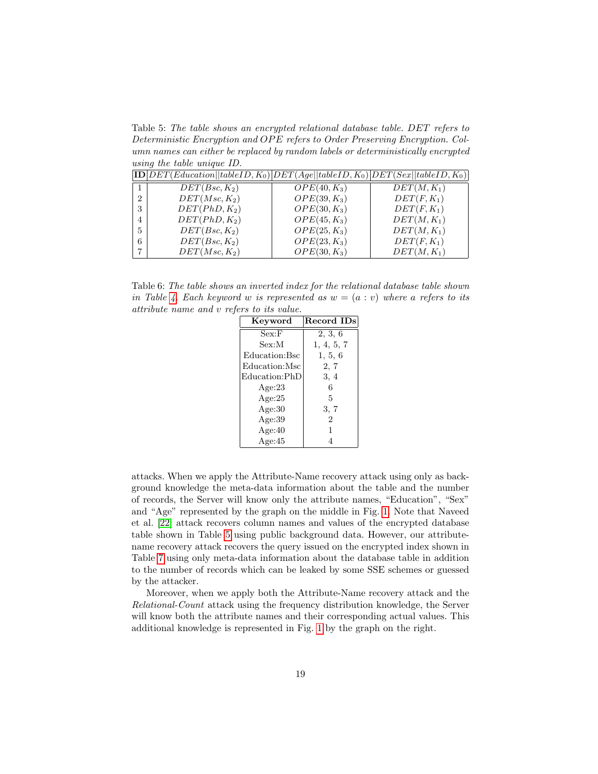<span id="page-18-0"></span>Table 5: The table shows an encrypted relational database table. DET refers to Deterministic Encryption and OPE refers to Order Preserving Encryption. Column names can either be replaced by random labels or deterministically encrypted using the table unique ID.

|                | $ \mathbf{ID} $ DET(Education  tableID, K <sub>0</sub> ) DET(Age  tableID, K <sub>0</sub> ) DET(Sex  tableID, K <sub>0</sub> ) |                |               |
|----------------|--------------------------------------------------------------------------------------------------------------------------------|----------------|---------------|
|                | $DET(Bsc, K_2)$                                                                                                                | $OPE(40, K_3)$ | $DET(M,K_1)$  |
| $\overline{2}$ | $DET(Msc, K_2)$                                                                                                                | $OPE(39, K_3)$ | $DET(F,K_1)$  |
| 3              | $DET(PhD, K_2)$                                                                                                                | $OPE(30, K_3)$ | $DET(F,K_1)$  |
| 4              | $DET(PhD, K_2)$                                                                                                                | $OPE(45, K_3)$ | $DET(M, K_1)$ |
| 5              | $DET(Bsc, K_2)$                                                                                                                | $OPE(25, K_3)$ | $DET(M, K_1)$ |
| 6              | $DET(Bsc, K_2)$                                                                                                                | $OPE(23, K_3)$ | $DET(F,K_1)$  |
|                | $DET(Msc, K_2)$                                                                                                                | $OPE(30, K_3)$ | $DET(M, K_1)$ |

<span id="page-18-1"></span>Table 6: The table shows an inverted index for the relational database table shown in Table [4.](#page-17-6) Each keyword w is represented as  $w = (a : v)$  where a refers to its attribute name and v refers to its value.

| Keyword       | Record IDs     |
|---------------|----------------|
| SexF          | 2, 3, 6        |
| Sex:M         | 1, 4, 5, 7     |
| Education:Bsc | 1, 5, 6        |
| Education:Msc | 2, 7           |
| Education:PhD | 3, 4           |
| Age:23        | 6              |
| Age:25        | 5              |
| Age:30        | 3, 7           |
| Age:39        | $\mathfrak{D}$ |
| Age:40        |                |
| Age:45        |                |

attacks. When we apply the Attribute-Name recovery attack using only as background knowledge the meta-data information about the table and the number of records, the Server will know only the attribute names, "Education", "Sex" and "Age" represented by the graph on the middle in Fig. [1.](#page-19-0) Note that Naveed et al. [\[22\]](#page-16-9) attack recovers column names and values of the encrypted database table shown in Table [5](#page-18-0) using public background data. However, our attributename recovery attack recovers the query issued on the encrypted index shown in Table [7](#page-19-1) using only meta-data information about the database table in addition to the number of records which can be leaked by some SSE schemes or guessed by the attacker.

Moreover, when we apply both the Attribute-Name recovery attack and the Relational-Count attack using the frequency distribution knowledge, the Server will know both the attribute names and their corresponding actual values. This additional knowledge is represented in Fig. [1](#page-19-0) by the graph on the right.